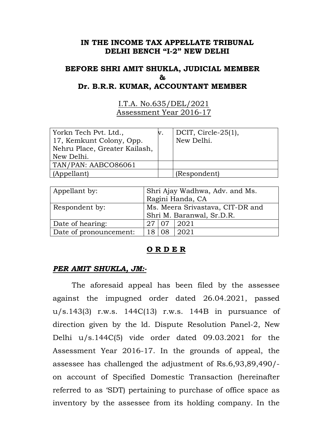## **IN THE INCOME TAX APPELLATE TRIBUNAL DELHI BENCH "I-2" NEW DELHI**

# **BEFORE SHRI AMIT SHUKLA, JUDICIAL MEMBER & Dr. B.R.R. KUMAR, ACCOUNTANT MEMBER**

I.T.A. No.635/DEL/2021 Assessment Year 2016-17

| Yorkn Tech Pvt. Ltd.,<br>17, Kemkunt Colony, Opp.<br>Nehru Place, Greater Kailash, | DCIT, Circle- $25(1)$ ,<br>New Delhi. |
|------------------------------------------------------------------------------------|---------------------------------------|
| New Delhi.                                                                         |                                       |
| TAN/PAN: AABCO86061                                                                |                                       |
| (Appellant)                                                                        | (Respondent)                          |

| Appellant by:          | Shri Ajay Wadhwa, Adv. and Ms.   |  |           |
|------------------------|----------------------------------|--|-----------|
|                        | Ragini Handa, CA                 |  |           |
| Respondent by:         | Ms. Meera Srivastava, CIT-DR and |  |           |
|                        | Shri M. Baranwal, Sr.D.R.        |  |           |
| Date of hearing:       |                                  |  | 07   2021 |
| Date of pronouncement: |                                  |  | 2021      |

## **O R D E R**

## *PER AMIT SHUKLA, JM:-*

 The aforesaid appeal has been filed by the assessee against the impugned order dated 26.04.2021, passed u/s.143(3) r.w.s. 144C(13) r.w.s. 144B in pursuance of direction given by the ld. Dispute Resolution Panel-2, New Delhi u/s.144C(5) vide order dated 09.03.2021 for the Assessment Year 2016-17. In the grounds of appeal, the assessee has challenged the adjustment of Rs.6,93,89,490/ on account of Specified Domestic Transaction (hereinafter referred to as 'SDT) pertaining to purchase of office space as inventory by the assessee from its holding company. In the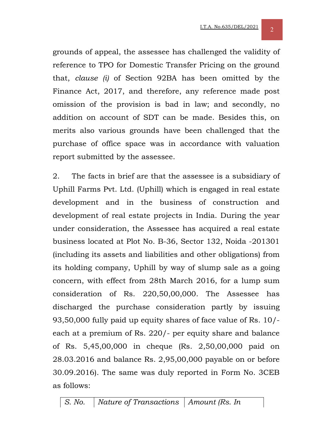grounds of appeal, the assessee has challenged the validity of reference to TPO for Domestic Transfer Pricing on the ground that, *clause (i)* of Section 92BA has been omitted by the Finance Act, 2017, and therefore, any reference made post omission of the provision is bad in law; and secondly, no addition on account of SDT can be made. Besides this, on merits also various grounds have been challenged that the purchase of office space was in accordance with valuation report submitted by the assessee.

2. The facts in brief are that the assessee is a subsidiary of Uphill Farms Pvt. Ltd. (Uphill) which is engaged in real estate development and in the business of construction and development of real estate projects in India. During the year under consideration, the Assessee has acquired a real estate business located at Plot No. B-36, Sector 132, Noida -201301 (including its assets and liabilities and other obligations) from its holding company, Uphill by way of slump sale as a going concern, with effect from 28th March 2016, for a lump sum consideration of Rs. 220,50,00,000. The Assessee has discharged the purchase consideration partly by issuing 93,50,000 fully paid up equity shares of face value of Rs. 10/ each at a premium of Rs. 220/- per equity share and balance of Rs. 5,45,00,000 in cheque (Rs. 2,50,00,000 paid on 28.03.2016 and balance Rs. 2,95,00,000 payable on or before 30.09.2016). The same was duly reported in Form No. 3CEB as follows:

*S. No. Nature of Transactions Amount (Rs. In*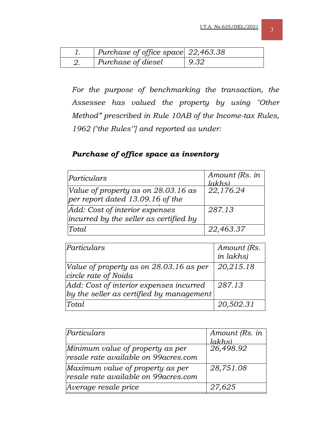| Purchase of office space $22,463.38$ |      |
|--------------------------------------|------|
| Purchase of diesel                   | 9.32 |

*For the purpose of benchmarking the transaction, the Assessee has valued the property by using "Other Method" prescribed in Rule 10AB of the Income-tax Rules, 1962 ("the Rules''] and reported as under:* 

# *Purchase of office space as inventory*

| Particulars                                                                 | Amount (Rs. in<br>$l_{akh}$ s) |
|-----------------------------------------------------------------------------|--------------------------------|
| Value of property as on $28.03.16$ as<br>per report dated $13.09.16$ of the | 22,176.24                      |
| Add: Cost of interior expenses<br>incurred by the seller as certified by    | 287.13                         |
| Total                                                                       | 22,463.37                      |

| Particulars                                                                         | Amount (Rs.<br>in lakhs) |
|-------------------------------------------------------------------------------------|--------------------------|
| Value of property as on 28.03.16 as per<br>circle rate of Noida                     | 20,215.18                |
| Add: Cost of interior expenses incurred<br>by the seller as certified by management | 287.13                   |
| Total                                                                               | 20,502.31                |

| Particulars                                                               | Amount (Rs. in |
|---------------------------------------------------------------------------|----------------|
|                                                                           | $l_{akhs}$     |
| Minimum value of property as per                                          | 26,498.92      |
| resale rate available on 99 acres.com                                     |                |
| Maximum value of property as per<br>resale rate available on 99 acres.com | 28,751.08      |
| Average resale price                                                      | 27,625         |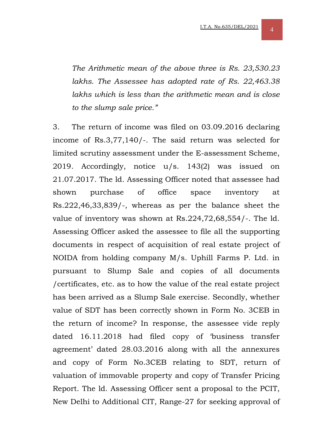*The Arithmetic mean of the above three is Rs. 23,530.23 lakhs. The Assessee has adopted rate of Rs. 22,463.38 lakhs which is less than the arithmetic mean and is close to the slump sale price."* 

3. The return of income was filed on 03.09.2016 declaring income of Rs.3,77,140/-. The said return was selected for limited scrutiny assessment under the E-assessment Scheme, 2019. Accordingly, notice u/s. 143(2) was issued on 21.07.2017. The ld. Assessing Officer noted that assessee had shown purchase of office space inventory at Rs.222,46,33,839/-, whereas as per the balance sheet the value of inventory was shown at Rs.224,72,68,554/-. The ld. Assessing Officer asked the assessee to file all the supporting documents in respect of acquisition of real estate project of NOIDA from holding company M/s. Uphill Farms P. Ltd. in pursuant to Slump Sale and copies of all documents /certificates, etc. as to how the value of the real estate project has been arrived as a Slump Sale exercise. Secondly, whether value of SDT has been correctly shown in Form No. 3CEB in the return of income? In response, the assessee vide reply dated 16.11.2018 had filed copy of 'business transfer agreement' dated 28.03.2016 along with all the annexures and copy of Form No.3CEB relating to SDT, return of valuation of immovable property and copy of Transfer Pricing Report. The ld. Assessing Officer sent a proposal to the PCIT, New Delhi to Additional CIT, Range-27 for seeking approval of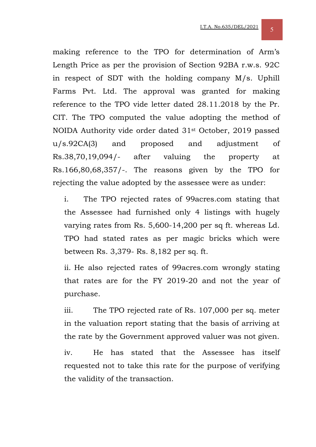making reference to the TPO for determination of Arm's Length Price as per the provision of Section 92BA r.w.s. 92C in respect of SDT with the holding company M/s. Uphill Farms Pvt. Ltd. The approval was granted for making reference to the TPO vide letter dated 28.11.2018 by the Pr. CIT. The TPO computed the value adopting the method of NOIDA Authority vide order dated 31st October, 2019 passed u/s.92CA(3) and proposed and adjustment of Rs.38,70,19,094/- after valuing the property at Rs.166,80,68,357/-. The reasons given by the TPO for rejecting the value adopted by the assessee were as under:

i. The TPO rejected rates of 99acres.com stating that the Assessee had furnished only 4 listings with hugely varying rates from Rs. 5,600-14,200 per sq ft. whereas Ld. TPO had stated rates as per magic bricks which were between Rs. 3,379- Rs. 8,182 per sq. ft.

ii. He also rejected rates of 99acres.com wrongly stating that rates are for the FY 2019-20 and not the year of purchase.

iii. The TPO rejected rate of Rs. 107,000 per sq. meter in the valuation report stating that the basis of arriving at the rate by the Government approved valuer was not given.

iv. He has stated that the Assessee has itself requested not to take this rate for the purpose of verifying the validity of the transaction.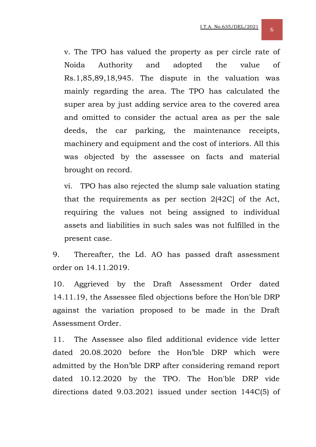v. The TPO has valued the property as per circle rate of Noida Authority and adopted the value of Rs.1,85,89,18,945. The dispute in the valuation was mainly regarding the area. The TPO has calculated the super area by just adding service area to the covered area and omitted to consider the actual area as per the sale deeds, the car parking, the maintenance receipts, machinery and equipment and the cost of interiors. All this was objected by the assessee on facts and material brought on record.

vi. TPO has also rejected the slump sale valuation stating that the requirements as per section 2(42C] of the Act, requiring the values not being assigned to individual assets and liabilities in such sales was not fulfilled in the present case.

9. Thereafter, the Ld. AO has passed draft assessment order on 14.11.2019.

10. Aggrieved by the Draft Assessment Order dated 14.11.19, the Assessee filed objections before the Hon'ble DRP against the variation proposed to be made in the Draft Assessment Order.

11. The Assessee also filed additional evidence vide letter dated 20.08.2020 before the Hon'ble DRP which were admitted by the Hon'ble DRP after considering remand report dated 10.12.2020 by the TPO. The Hon'ble DRP vide directions dated 9.03.2021 issued under section 144C(5) of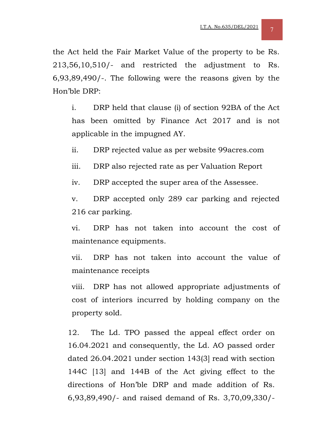the Act held the Fair Market Value of the property to be Rs. 213,56,10,510/- and restricted the adjustment to Rs. 6,93,89,490/-. The following were the reasons given by the Hon'ble DRP:

i. DRP held that clause (i) of section 92BA of the Act has been omitted by Finance Act 2017 and is not applicable in the impugned AY.

ii. DRP rejected value as per website 99acres.com

iii. DRP also rejected rate as per Valuation Report

iv. DRP accepted the super area of the Assessee.

v. DRP accepted only 289 car parking and rejected 216 car parking.

vi. DRP has not taken into account the cost of maintenance equipments.

vii. DRP has not taken into account the value of maintenance receipts

viii. DRP has not allowed appropriate adjustments of cost of interiors incurred by holding company on the property sold.

12. The Ld. TPO passed the appeal effect order on 16.04.2021 and consequently, the Ld. AO passed order dated 26.04.2021 under section 143(3] read with section 144C [13] and 144B of the Act giving effect to the directions of Hon'ble DRP and made addition of Rs. 6,93,89,490/- and raised demand of Rs. 3,70,09,330/-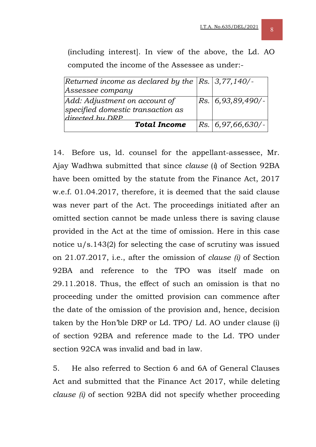(including interest]. In view of the above, the Ld. AO computed the income of the Assessee as under:-

| Returned income as declared by the $ Rs. 3,77,140/$ - |                       |
|-------------------------------------------------------|-----------------------|
| Assessee company                                      |                       |
| Add: Adjustment on account of                         | $ Rs. 6,93,89,490/$ - |
| specified domestic transaction as                     |                       |
| directed by DRP                                       |                       |
| <b>Total Income</b>                                   | Rs. 6, 97, 66, 630/   |

14. Before us, ld. counsel for the appellant-assessee, Mr. Ajay Wadhwa submitted that since *clause* (*i*) of Section 92BA have been omitted by the statute from the Finance Act, 2017 w.e.f. 01.04.2017, therefore, it is deemed that the said clause was never part of the Act. The proceedings initiated after an omitted section cannot be made unless there is saving clause provided in the Act at the time of omission. Here in this case notice u/s.143(2) for selecting the case of scrutiny was issued on 21.07.2017, i.e., after the omission of *clause (i)* of Section 92BA and reference to the TPO was itself made on 29.11.2018. Thus, the effect of such an omission is that no proceeding under the omitted provision can commence after the date of the omission of the provision and, hence, decision taken by the Hon'ble DRP or Ld. TPO/ Ld. AO under clause (i) of section 92BA and reference made to the Ld. TPO under section 92CA was invalid and bad in law.

5. He also referred to Section 6 and 6A of General Clauses Act and submitted that the Finance Act 2017, while deleting *clause (i)* of section 92BA did not specify whether proceeding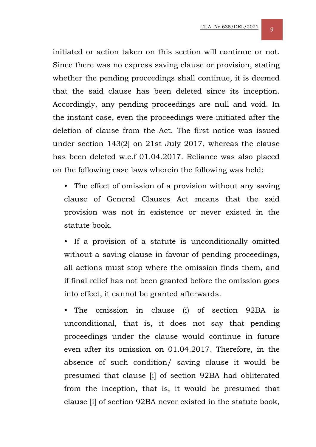initiated or action taken on this section will continue or not. Since there was no express saving clause or provision, stating whether the pending proceedings shall continue, it is deemed that the said clause has been deleted since its inception. Accordingly, any pending proceedings are null and void. In the instant case, even the proceedings were initiated after the deletion of clause from the Act. The first notice was issued under section 143(2] on 21st July 2017, whereas the clause has been deleted w.e.f 01.04.2017. Reliance was also placed on the following case laws wherein the following was held:

• The effect of omission of a provision without any saving clause of General Clauses Act means that the said provision was not in existence or never existed in the statute book.

• If a provision of a statute is unconditionally omitted without a saving clause in favour of pending proceedings, all actions must stop where the omission finds them, and if final relief has not been granted before the omission goes into effect, it cannot be granted afterwards.

• The omission in clause (i) of section 92BA is unconditional, that is, it does not say that pending proceedings under the clause would continue in future even after its omission on 01.04.2017. Therefore, in the absence of such condition/ saving clause it would be presumed that clause [i] of section 92BA had obliterated from the inception, that is, it would be presumed that clause [i] of section 92BA never existed in the statute book,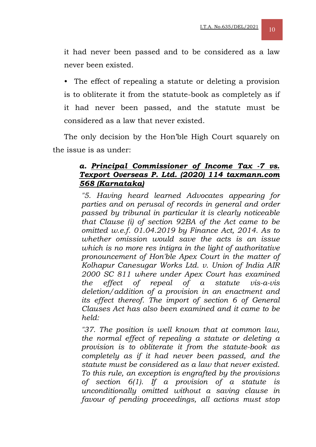it had never been passed and to be considered as a law never been existed.

The effect of repealing a statute or deleting a provision is to obliterate it from the statute-book as completely as if it had never been passed, and the statute must be considered as a law that never existed.

The only decision by the Hon'ble High Court squarely on the issue is as under:

## *a. Principal Commissioner of Income Tax -7 vs. Texport Overseas P. Ltd. (2020) 114 taxmann.com 568 (Karnataka)*

*"5. Having heard learned Advocates appearing for parties and on perusal of records in general and order passed by tribunal in particular it is clearly noticeable that Clause (i) of section 92BA of the Act came to be omitted w.e.f. 01.04.2019 by Finance Act, 2014. As to whether omission would save the acts is an issue which is no more res intigra in the light of authoritative pronouncement of Hon'ble Apex Court in the matter of Kolhapur Canesugar Works Ltd. v. Union of India AIR 2000 SC 811 where under Apex Court has examined the effect of repeal of a statute vis-a-vis deletion/addition of a provision in an enactment and its effect thereof. The import of section 6 of General Clauses Act has also been examined and it came to be held:* 

*"37. The position is well known that at common law, the normal effect of repealing a statute or deleting a provision is to obliterate it from the statute-book as completely as if it had never been passed, and the statute must be considered as a law that never existed. To this rule, an exception is engrafted by the provisions of section 6(1). If a provision of a statute is unconditionally omitted without a saving clause in favour of pending proceedings, all actions must stop*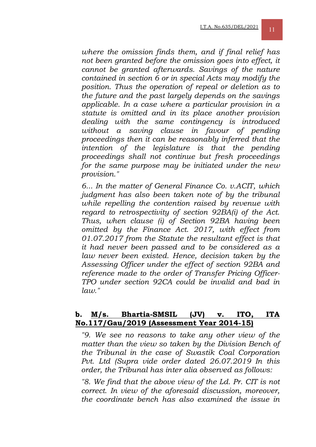*where the omission finds them, and if final relief has not been granted before the omission goes into effect, it cannot be granted afterwards. Savings of the nature contained in section 6 or in special Acts may modify the position. Thus the operation of repeal or deletion as to the future and the past largely depends on the savings applicable. In a case where a particular provision in a statute is omitted and in its place another provision dealing with the same contingency is introduced without a saving clause in favour of pending proceedings then it can be reasonably inferred that the intention of the legislature is that the pending proceedings shall not continue but fresh proceedings for the same purpose may be initiated under the new provision."* 

*6... In the matter of General Finance Co. v.ACIT, which judgment has also been taken note of by the tribunal while repelling the contention raised by revenue with regard to retrospectivity of section 92BA(i) of the Act. Thus, when clause (i) of Section 92BA having been omitted by the Finance Act. 2017, with effect from 01.07.2017 from the Statute the resultant effect is that it had never been passed and to be considered as a law never been existed. Hence, decision taken by the Assessing Officer under the effect of section 92BA and reference made to the order of Transfer Pricing Officer-TPO under section 92CA could be invalid and bad in law."* 

#### **b. M/s. Bhartia-SMSIL (JV) v. ITO, ITA No.117/Gau/2019 (Assessment Year 2014-15)**

*"9. We see no reasons to take any other view of the matter than the view so taken by the Division Bench of the Tribunal in the case of Swastik Coal Corporation Pvt. Ltd (Supra vide order dated 26.07.2019 In this order, the Tribunal has inter alia observed as follows:* 

*"8. We find that the above view of the Ld. Pr. CIT is not correct. In view of the aforesaid discussion, moreover, the coordinate bench has also examined the issue in*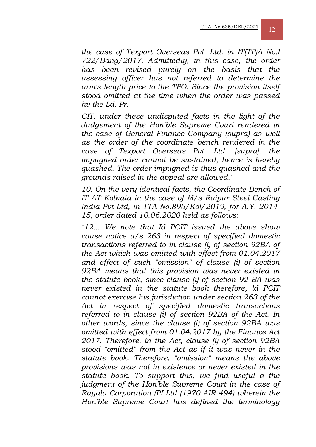*the case of Texport Overseas Pvt. Ltd. in IT(TP)A No.l 722/Bang/2017. Admittedly, in this case, the order has been revised purely on the basis that the assessing officer has not referred to determine the arm's length price to the TPO. Since the provision itself stood omitted at the time when the order was passed hv the Ld. Pr.* 

*CIT. under these undisputed facts in the light of the Judgement of the Hon'ble Supreme Court rendered in the case of General Finance Company (supra) as well as the order of the coordinate bench rendered in the case of Texport Overseas Pvt. Ltd. [supra]. the impugned order cannot be sustained, hence is hereby quashed. The order impugned is thus quashed and the grounds raised in the appeal are allowed."* 

*10. On the very identical facts, the Coordinate Bench of IT AT Kolkata in the case of M/s Raipur Steel Casting India Pvt Ltd, in 1TA No.895/Kol/2019, for A.Y. 2014- 15, order dated 10.06.2020 held as follows:* 

*"12... We note that Id PCIT issued the above show cause notice u/s 263 in respect of specified domestic transactions referred to in clause (i) of section 92BA of the Act which was omitted with effect from 01.04.2017 and effect of such "omission" of clause (i) of section 92BA means that this provision was never existed in the statute book, since clause (i) of section 92 BA was never existed in the statute book therefore, ld PCIT cannot exercise his jurisdiction under section 263 of the Act in respect of specified domestic transactions referred to in clause (i) of section 92BA of the Act. In other words, since the clause (i) of section 92BA was omitted with effect from 01.04.2017 by the Finance Act 2017. Therefore, in the Act, clause (i) of section 92BA stood "omitted" from the Act as if it was never in the statute book. Therefore, "omission" means the above provisions was not in existence or never existed in the statute book. To support this, we find useful a the judgment of the Hon'ble Supreme Court in the case of Rayala Corporation (PI Ltd (1970 AIR 494) wherein the Hon'ble Supreme Court has defined the terminology*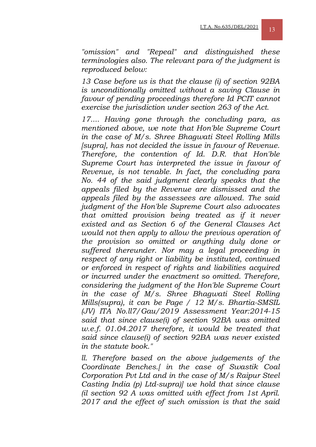*"omission" and "Repeal" and distinguished these terminologies also. The relevant para of the judgment is reproduced below:* 

*13 Case before us is that the clause (i) of section 92BA is unconditionally omitted without a saving Clause in favour of pending proceedings therefore Id PCIT cannot exercise the jurisdiction under section 263 of the Act.* 

*17.... Having gone through the concluding para, as mentioned above, we note that Hon'ble Supreme Court in the case of M/s. Shree Bhagwati Steel Rolling Mills [supra], has not decided the issue in favour of Revenue. Therefore, the contention of Id. D.R. that Hon'ble Supreme Court has interpreted the issue in favour of Revenue, is not tenable. In fact, the concluding para No. 44 of the said judgment clearly speaks that the appeals filed by the Revenue are dismissed and the appeals filed by the assessees are allowed. The said judgment of the Hon'ble Supreme Court also advocates that omitted provision being treated as if it never existed and as Section 6 of the General Clauses Act would not then apply to allow the previous operation of the provision so omitted or anything duly done or suffered thereunder. Nor may a legal proceeding in respect of any right or liability be instituted, continued or enforced in respect of rights and liabilities acquired or incurred under the enactment so omitted. Therefore, considering the judgment of the Hon'ble Supreme Court in the case of M/s. Shree Bhagwati Steel Rolling Mills(supra), it can be Page / 12 M/s. Bhartia-SMSIL (JV) ITA No.ll7/Gau/2019 Assessment Year:2014-15 said that since clause(i) of section 92BA was omitted w.e.f. 01.04.2017 therefore, it would be treated that said since clause(i) of section 92BA was never existed in the statute book."* 

*ll. Therefore based on the above judgements of the Coordinate Benches.[ in the case of Swastik Coal Corporation Pvt Ltd and in the case of M/s Raipur Steel Casting India (p) Ltd-supra)] we hold that since clause (il section 92 A was omitted with effect from 1st April. 2017 and the effect of such omission is that the said*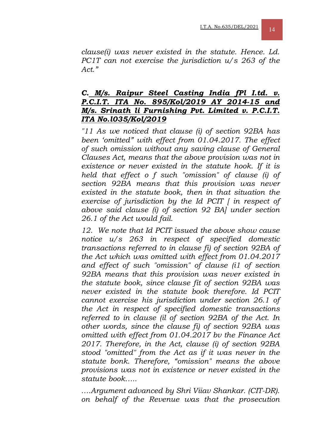*clause(i) was never existed in the statute. Hence. Ld. PC1T can not exercise the jurisdiction u/s 263 of the Act."* 

## *C. M/s. Raipur Steel Casting India fPl I.td. v. P.C.I.T. ITA No. 895/Kol/2019 AY 2014-15 and M/s. Srinath li Furnishing Pvt. Limited v. P.C.I.T. ITA No.l035/Kol/2019*

*"11 As we noticed that clause (i) of section 92BA has been 'omitted" with effect from 01.04.2017. The effect of such omission without any saving clause of General Clauses Act, means that the above provision was not in existence or never existed in the statute hook. If it is held that effect o f such "omission" of clause (i) of section 92BA means that this provision was never existed in the statute book, then in that situation the exercise of jurisdiction by the Id PCIT [ in respect of above said clause (i) of section 92 BA] under section 26.1 of the Act would fail.* 

*12. We note that Id PCIT issued the above show cause notice u/s 263 in respect of specified domestic transactions referred to in clause fi) of section 92BA of the Act which was omitted with effect from 01.04.2017 and effect of such "omission" of clause (i1 of section 92BA means that this provision was never existed in the statute book, since clause fit of section 92BA was never existed in the statute book therefore. Id PCIT cannot exercise his jurisdiction under section 26.1 of the Act in respect of specified domestic transactions referred to in clause (il of section 92BA of the Act. In other words, since the clause fi) of section 92BA was omitted with effect from 01.04.2017 bv the Finance Act 2017. Therefore, in the Act, clause (i) of section 92BA stood "omitted" from the Act as if it was never in the statute bonk. Therefore, "omission" means the above provisions was not in existence or never existed in the statute book…..* 

*….Argument advanced by Shri Viiav Shankar. (CIT-DR). on behalf of the Revenue was that the prosecution*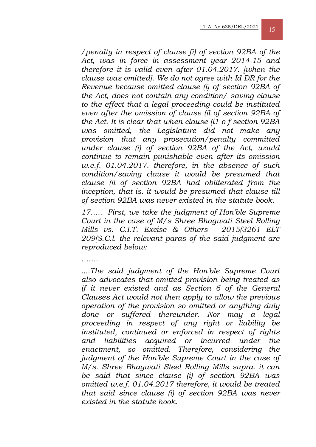*/penalty in respect of clause fi) of section 92BA of the Act, was in force in assessment year 2014-15 and therefore it is valid even after 01.04.2017. [when the clause was omitted]. We do not agree with Id DR for the Revenue because omitted clause (i) of section 92BA of the Act, does not contain any condition/ saving clause to the effect that a legal proceeding could be instituted even after the omission of clause (il of section 92BA of the Act. It is clear that when clause (i1 o f section 92BA was omitted, the Legislature did not make any provision that any prosecution/penalty committed under clause (i) of section 92BA of the Act, would continue to remain punishable even after its omission w.e.f. 01.04.2017. therefore, in the absence of such condition/saving clause it would be presumed that clause (il of section 92BA had obliterated from the inception, that is. it would be presumed that clause till of section 92BA was never existed in the statute book.* 

*17….. First, we take the judgment of Hon'ble Supreme Court in the case of M/s Shree Bhagwati Steel Rolling Mills vs. C.I.T. Excise & Others - 2015(3261 ELT 209(S.C.l. the relevant paras of the said judgment are reproduced below:* 

*…….* 

*....The said judgment of the Hon'ble Supreme Court also advocates that omitted provision being treated as if it never existed and as Section 6 of the General Clauses Act would not then apply to allow the previous operation of the provision so omitted or anything duly done or suffered thereunder. Nor may a legal proceeding in respect of any right or liability be instituted, continued or enforced in respect of rights and liabilities acquired or incurred under the enactment, so omitted. Therefore, considering the judgment of the Hon'ble Supreme Court in the case of M/s. Shree Bhagwati Steel Rolling Mills supra. it can be said that since clause (i) of section 92BA was omitted w.e.f. 01.04.2017 therefore, it would be treated that said since clause (i) of section 92BA was never existed in the statute hook.*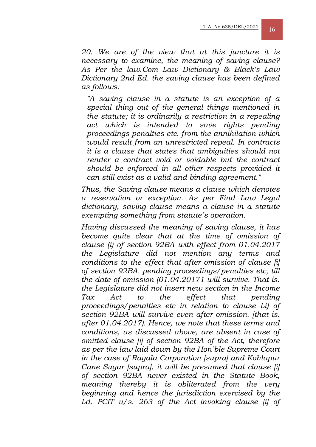*20. We are of the view that at this juncture it is necessary to examine, the meaning of saving clause? As Per the law.Com Law Dictionary & Black's Law Dictionary 2nd Ed. the saving clause has been defined as follows:* 

*"A saving clause in a statute is an exception of a special thing out of the general things mentioned in the statute; it is ordinarily a restriction in a repealing act which is intended to save rights pending proceedings penalties etc. from the annihilation which would result from an unrestricted repeal. In contracts it is a clause that states that ambiguities should not render a contract void or voidable but the contract should be enforced in all other respects provided it can still exist as a valid and binding agreement."* 

*Thus, the Saving clause means a clause which denotes a reservation or exception. As per Find Law Legal dictionary, saving clause means a clause in a statute exempting something from statute's operation.* 

*Having discussed the meaning of saving clause, it has become quite clear that at the time of omission of clause (i) of section 92BA with effect from 01.04.2017 the Legislature did not mention any terms and conditions to the effect that after omission of clause [i] of section 92BA. pending proceedings/penalties etc, till the date of omission (01.04.20171 will survive. That is. the Legislature did not insert new section in the Income Tax Act to the effect that pending proceedings/penalties etc in relation to clause Li) of section 92BA will survive even after omission. [that is. after 01.04.2017). Hence, we note that these terms and conditions, as discussed above, are absent in case of omitted clause [i] of section 92BA of the Act, therefore as per the law laid down by the Hon'ble Supreme Court in the case of Rayala Corporation [supra] and Kohlapur Cane Sugar [supra], it will be presumed that clause [i] of section 92BA never existed in the Statute Book, meaning thereby it is obliterated from the very beginning and hence the jurisdiction exercised by the Ld. PCIT u/s. 263 of the Act invoking clause [i] of*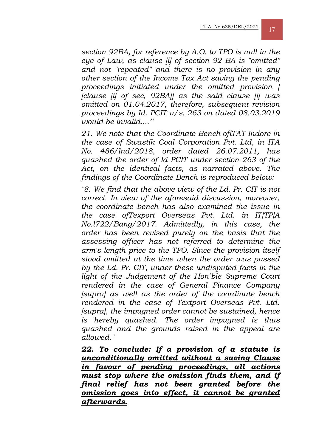*section 92BA, for reference by A.O. to TPO is null in the eye of Law, as clause [i] of section 92 BA is "omitted" and not "repeated" and there is no provision in any other section of the Income Tax Act saving the pending proceedings initiated under the omitted provision [ [clause [i] of sec, 92BA]] as the said clause [i] was omitted on 01.04.2017, therefore, subsequent revision proceedings by Id. PCIT u/s. 263 on dated 08.03.2019 would be invalid....''* 

*21. We note that the Coordinate Bench oflTAT Indore in the case of Swastik Coal Corporation Pvt. Ltd, in ITA No. 486/lnd/2018, order dated 26.07.2011, has quashed the order of Id PCIT under section 263 of the Act, on the identical facts, as narrated above. The findings of the Coordinate Bench is reproduced below:* 

*"8. We find that the above view of the Ld. Pr. CIT is not correct. In view of the aforesaid discussion, moreover, the coordinate bench has also examined the issue in the case ofTexport Overseas Pvt. Ltd. in IT[TP]A No.l722/Bang/2017. Admittedly, in this case, the order has been revised purely on the basis that the assessing officer has not referred to determine the arm's length price to the TPO. Since the provision itself stood omitted at the time when the order was passed by the Ld. Pr. CIT, under these undisputed facts in the light of the Judgement of the Hon'ble Supreme Court rendered in the case of General Finance Company [supra] as well as the order of the coordinate bench rendered in the case of Textport Overseas Pvt. Ltd. [supra], the impugned order cannot be sustained, hence is hereby quashed. The order impugned is thus quashed and the grounds raised in the appeal are allowed."* 

*22. To conclude: If a provision of a statute is unconditionally omitted without a saving Clause in favour of pending proceedings, all actions must stop where the omission finds them, and if final relief has not been granted before the omission goes into effect, it cannot be granted afterwards.*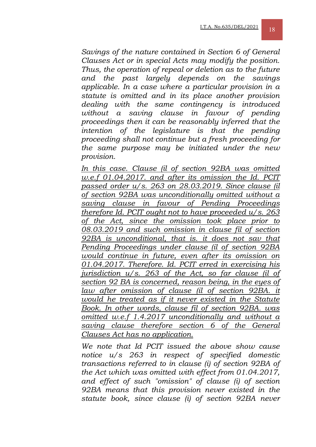*Savings of the nature contained in Section 6 of General Clauses Act or in special Acts may modify the position. Thus, the operation of repeal or deletion as to the future and the past largely depends on the savings applicable. In a case where a particular provision in a statute is omitted and in its place another provision dealing with the same contingency is introduced without a saving clause in favour of pending proceedings then it can be reasonably inferred that the intention of the legislature is that the pending proceeding shall not continue but a fresh proceeding for the same purpose may be initiated under the new provision.* 

In this case. Clause (il of section 92BA was omitted *w.e.f 01.04.2017. and after its omission the Id. PCIT passed order u/s. 263 on 28.03.2019. Since clause (il of section 92BA was unconditionally omitted without a saving clause in favour of Pending Proceedings therefore Id. PCIT ought not to have proceeded u/s. 263 of the Act, since the omission took place prior to 08.03.2019 and such omission in clause fil of section 92BA is unconditional, that is. it does not sav that Pending Proceedings under clause (il of section 92BA would continue in future, even after its omission on 01.04.2017. Therefore. Id. PCIT erred in exercising his jurisdiction u/s. 263 of the Act, so far clause (il of section 92 BA is concerned, reason being, in the eyes of*  law after omission of clause (il of section 92BA. it *would he treated as if it never existed in the Statute Book. In other words, clause fil of section 92BA. was omitted w.e.f 1.4.2017 unconditionally and without a saving clause therefore section 6 of the General Clauses Act has no application.*

*We note that Id PCIT issued the above show cause notice u/s 263 in respect of specified domestic transactions referred to in clause (i) of section 92BA of the Act which was omitted with effect from 01.04.2017, and effect of such "omission" of clause (i) of section 92BA means that this provision never existed in the statute book, since clause (i) of section 92BA never*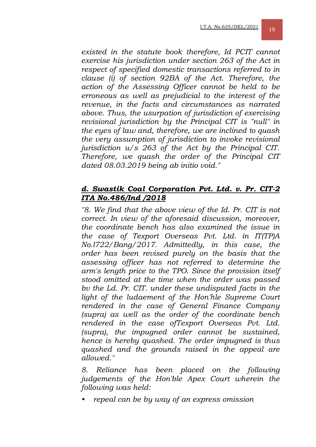*existed in the statute book therefore, Id PCIT cannot exercise his jurisdiction under section 263 of the Act in respect of specified domestic transactions referred to in clause (i) of section 92BA of the Act. Therefore, the action of the Assessing Officer cannot be held to be erroneous as well as prejudicial to the interest of the revenue, in the facts and circumstances as narrated above. Thus, the usurpation of jurisdiction of exercising revisional jurisdiction by the Principal CIT is "null" in the eyes of law and, therefore, we are inclined to quash the very assumption of jurisdiction to invoke revisional jurisdiction u/s 263 of the Act by the Principal CIT. Therefore, we quash the order of the Principal CIT dated 08.03.2019 being ab initio void."* 

## *d. Swastik Coal Corporation Pvt. Ltd. v. Pr. CIT-2 ITA No.486/Ind /2018*

*"8. We find that the above view of the Id. Pr. CIT is not correct. In view of the aforesaid discussion, moreover, the coordinate bench has also examined the issue in the case of Texport Overseas Pvt. Ltd. in IT(TP)A No.l722/Bang/2017. Admittedly, in this case, the order has been revised purely on the basis that the assessing officer has not referred to determine the arm's length price to the TPO. Since the provision itself stood omitted at the time when the order was passed bv the Ld. Pr. CIT. under these undisputed facts in the light of the ludaement of the Hon'hle Supreme Court rendered in the case of General Finance Company (supra) as well as the order of the coordinate bench rendered in the case ofTexport Overseas Pvt. Ltd. (supra), the impugned order cannot be sustained, hence is hereby quashed. The order impugned is thus quashed and the grounds raised in the appeal are allowed."* 

*8. Reliance has been placed on the following judgements of the Hon'ble Apex Court wherein the following was held:* 

*• repeal can be by way of an express omission*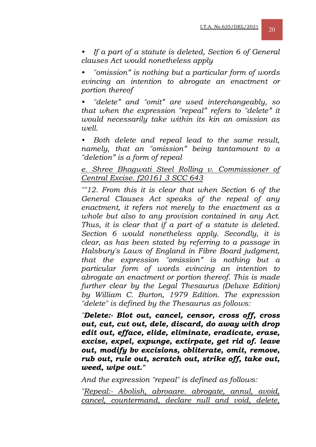*• If a part of a statute is deleted, Section 6 of General clauses Act would nonetheless apply* 

*• "omission" is nothing but a particular form of words evincing an intention to abrogate an enactment or portion thereof* 

*• "delete" and "omit" are used interchangeably, so that when the expression "repeal" refers to "delete" it would necessarily take within its kin an omission as well.* 

*• Both delete and repeal lead to the same result, namely, that an "omission" being tantamount to a "deletion" is a form of repeal* 

#### *e. Shree Bhagwati Steel Rolling v. Commissioner of Central Excise. f20161 3 SCC 643*

*""12. From this it is clear that when Section 6 of the General Clauses Act speaks of the repeal of any enactment, it refers not merely to the enactment as a whole but also to any provision contained in any Act. Thus, it is clear that if a part of a statute is deleted. Section 6 would nonetheless apply. Secondly, it is clear, as has been stated by referring to a passage in Halsbury's Laws of England in Fibre Board judgment, that the expression "omission" is nothing but a particular form of words evincing an intention to abrogate an enactment or portion thereof. This is made further clear by the Legal Thesaurus (Deluxe Edition) by William C. Burton, 1979 Edition. The expression "delete" is defined by the Thesaurus as follows:* 

*"Delete:- Blot out, cancel, censor, cross off, cross out, cut, cut out, dele, discard, do away with drop edit out, efface, elide, eliminate, eradicate, erase, excise, expel, expunge, extirpate, get rid of. leave out, modify bv excisions, obliterate, omit, remove, rub out, rule out, scratch out, strike off, take out, weed, wipe out."* 

*And the expression "repeal" is defined as follows:* 

*"Repeal:- Abolish, abroaare. abrogate, annul, avoid, cancel, countermand, declare null and void, delete,*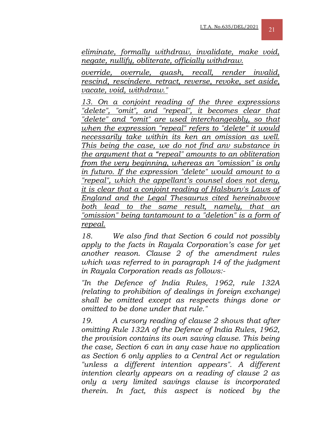*eliminate, formally withdraw, invalidate, make void, negate, nullify, obliterate, officially withdraw.*

*override, overrule, quash, recall, render invalid, rescind, rescindere. retract, reverse, revoke, set aside, vacate, void, withdraw."*

*13. On a conjoint reading of the three expressions "delete", "omit", and "repeal", it becomes clear that "delete" and "omit" are used interchangeably, so that when the expression "repeal" refers to "delete" it would necessarily take within its ken an omission as well. This being the case, we do not find anv substance in the argument that a "repeal" amounts to an obliteration from the very beginning, whereas an "omission" is only in futuro. If the expression "delete" would amount to a "repeal", which the appellant's counsel does not deny, it is clear that a conjoint reading of Halsburv's Laws of England and the Legal Thesaurus cited hereinabvove both lead to the same result, namely, that "omission" being tantamount to a "deletion" is a form of repeal.*

*18. We also find that Section 6 could not possibly apply to the facts in Rayala Corporation's case for yet another reason. Clause 2 of the amendment rules which was referred to in paragraph 14 of the judgment in Rayala Corporation reads as follows:-* 

*"In the Defence of India Rules, 1962, rule 132A (relating to prohibition of dealings in foreign exchange) shall be omitted except as respects things done or omitted to be done under that rule."* 

*19. A cursory reading of clause 2 shows that after omitting Rule 132A of the Defence of India Rules, 1962, the provision contains its own saving clause. This being the case, Section 6 can in any case have no application as Section 6 only applies to a Central Act or regulation "unless a different intention appears". A different intention clearly appears on a reading of clause 2 as only a very limited savings clause is incorporated therein. In fact, this aspect is noticed by the*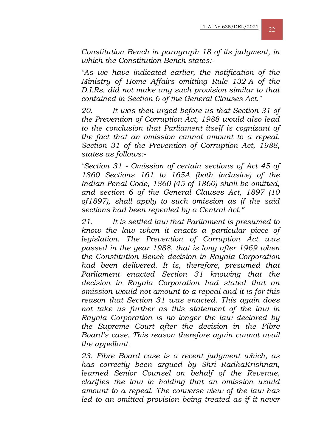*Constitution Bench in paragraph 18 of its judgment, in which the Constitution Bench states:-* 

*"As we have indicated earlier, the notification of the Ministry of Home Affairs omitting Rule 132-A of the D.I.Rs. did not make any such provision similar to that contained in Section 6 of the General Clauses Act."*

*20. It was then urged before us that Section 31 of the Prevention of Corruption Act, 1988 would also lead to the conclusion that Parliament itself is cognizant of the fact that an omission cannot amount to a repeal. Section 31 of the Prevention of Corruption Act, 1988, states as follows:-* 

*"Section 31 - Omission of certain sections of Act 45 of 1860 Sections 161 to 165A (both inclusive) of the Indian Penal Code, 1860 (45 of 1860) shall be omitted, and section 6 of the General Clauses Act, 1897 (10 of1897), shall apply to such omission as if the said sections had been repealed by a Central Act."* 

*21. It is settled law that Parliament is presumed to know the law when it enacts a particular piece of legislation. The Prevention of Corruption Act was passed in the year 1988, that is long after 1969 when the Constitution Bench decision in Rayala Corporation had been delivered. It is, therefore, presumed that Parliament enacted Section 31 knowing that the decision in Rayala Corporation had stated that an omission would not amount to a repeal and it is for this reason that Section 31 was enacted. This again does not take us further as this statement of the law in Rayala Corporation is no longer the law declared by the Supreme Court after the decision in the Fibre Board's case. This reason therefore again cannot avail the appellant.* 

*23. Fibre Board case is a recent judgment which, as has correctly been argued by Shri RadhaKrishnan, learned Senior Counsel on behalf of the Revenue, clarifies the law in holding that an omission would amount to a repeal. The converse view of the law has*  led to an omitted provision being treated as if it never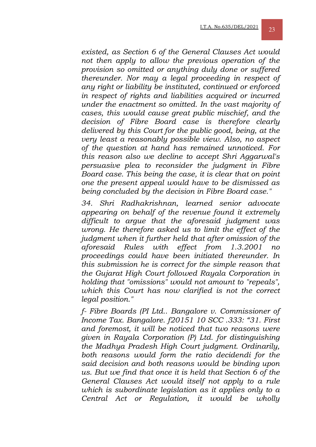*existed, as Section 6 of the General Clauses Act would not then apply to allow the previous operation of the provision so omitted or anything duly done or suffered thereunder. Nor may a legal proceeding in respect of any right or liability be instituted, continued or enforced in respect of rights and liabilities acquired or incurred under the enactment so omitted. In the vast majority of cases, this would cause great public mischief, and the decision of Fibre Board case is therefore clearly delivered by this Court for the public good, being, at the very least a reasonably possible view. Also, no aspect of the question at hand has remained unnoticed. For this reason also we decline to accept Shri Aggarwal's persuasive plea to reconsider the judgment in Fibre Board case. This being the case, it is clear that on point one the present appeal would have to be dismissed as being concluded by the decision in Fibre Board case."* 

*34. Shri Radhakrishnan, learned senior advocate appearing on behalf of the revenue found it extremely difficult to argue that the aforesaid judgment was wrong. He therefore asked us to limit the effect of the judgment when it further held that after omission of the aforesaid Rules with effect from 1.3.2001 no proceedings could have been initiated thereunder. In this submission he is correct for the simple reason that the Gujarat High Court followed Rayala Corporation in holding that "omissions" would not amount to "repeals", which this Court has now clarified is not the correct legal position."* 

*f- Fibre Boards (PI Ltd.. Bangalore v. Commissioner of Income Tax. Bangalore. f20151 10 SCC .333: "31. First and foremost, it will be noticed that two reasons were given in Rayala Corporation (P) Ltd. for distinguishing the Madhya Pradesh High Court judgment. Ordinarily, both reasons would form the ratio decidendi for the said decision and both reasons would be binding upon us. But we find that once it is held that Section 6 of the General Clauses Act would itself not apply to a rule which is subordinate legislation as it applies only to a Central Act or Regulation, it would be wholly*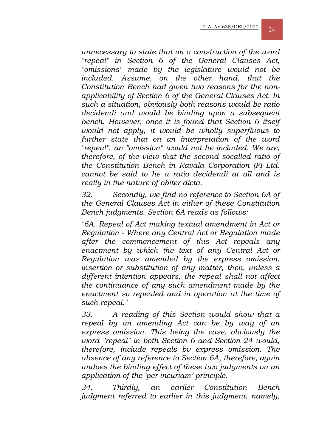*unnecessary to state that on a construction of the word "repeal" in Section 6 of the General Clauses Act, "omissions" made by the legislature would not be included. Assume, on the other hand, that the Constitution Bench had given two reasons for the nonapplicability of Section 6 of the General Clauses Act. In such a situation, obviously both reasons would be ratio decidendi and would be binding upon a subsequent bench. However, once it is found that Section 6 itself would not apply, it would be wholly superfluous to further state that on an interpretation of the word "repeal", an "omission" would not he included. We are, therefore, of the view that the second socalled ratio of the Constitution Bench in Ravala Corporation (PI Ltd. cannot be said to he a ratio decidendi at all and is really in the nature of obiter dicta.* 

*32. Secondly, we find no reference to Section 6A of the General Clauses Act in either of these Constitution Bench judgments. Section 6A reads as follows:* 

*"6A. Repeal of Act making textual amendment in Act or Regulation - Where any Central Act or Regulation made after the commencement of this Act repeals any enactment by which the text of any Central Act or Regulation was amended by the express omission, insertion or substitution of any matter, then, unless a different intention appears, the repeal shall not affect the continuance of any such amendment made by the enactment so repealed and in operation at the time of such repeal."* 

*33. A reading of this Section would show that a repeal by an amending Act can be by way of an express omission. This being the case, obviously the word ''repeal" in both Section 6 and Section 24 would, therefore, include repeals bv express omission. The absence of any reference to Section 6A, therefore, again undoes the binding effect of these two judgments on an application of the 'per incuriam' principle.* 

*34. Thirdly, an earlier Constitution Bench judgment referred to earlier in this judgment, namely,*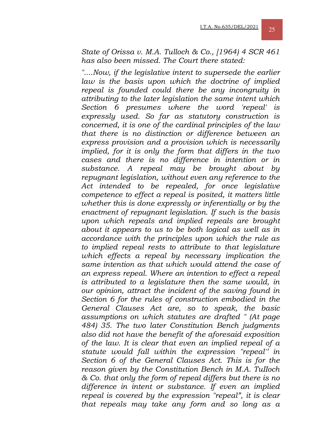*State of Orissa v. M.A. Tulloch & Co., [1964) 4 SCR 461 has also been missed. The Court there stated:* 

*"....Now, if the legislative intent to supersede the earlier law is the basis upon which the doctrine of implied repeal is founded could there be any incongruity in attributing to the later legislation the same intent which Section 6 presumes where the word 'repeal' is expressly used. So far as statutory construction is concerned, it is one of the cardinal principles of the law that there is no distinction or difference between an express provision and a provision which is necessarily implied, for it is only the form that differs in the two cases and there is no difference in intention or in substance. A repeal may be brought about by repugnant legislation, without even any reference to the Act intended to be repealed, for once legislative competence to effect a repeal is posited, it matters little whether this is done expressly or inferentially or by the enactment of repugnant legislation. If such is the basis upon which repeals and implied repeals are brought about it appears to us to be both logical as well as in accordance with the principles upon which the rule as to implied repeal rests to attribute to that legislature which effects a repeal by necessary implication the same intention as that which would attend the case of an express repeal. Where an intention to effect a repeal is attributed to a legislature then the same would, in our opinion, attract the incident of the saving found in Section 6 for the rules of construction embodied in the General Clauses Act are, so to speak, the basic assumptions on which statutes are drafted " (At page 484) 35. The two later Constitution Bench judgments also did not have the benefit of the aforesaid exposition of the law. It is clear that even an implied repeal of a statute would fall within the expression "repeal'' in Section 6 of the General Clauses Act. This is for the reason given by the Constitution Bench in M.A. TuIIoch & Co. that only the form of repeal differs but there is no difference in intent or substance. If even an implied repeal is covered by the expression "repeal", it is clear that repeals may take any form and so long as a*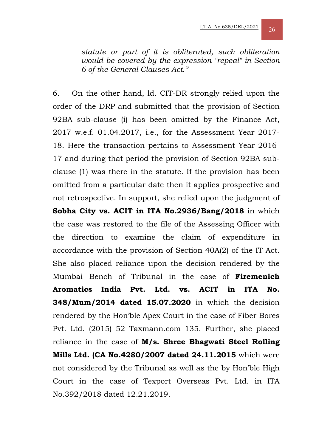*statute or part of it is obliterated, such obliteration would be covered by the expression "repeal" in Section 6 of the General Clauses Act."* 

6. On the other hand, ld. CIT-DR strongly relied upon the order of the DRP and submitted that the provision of Section 92BA sub-clause (i) has been omitted by the Finance Act, 2017 w.e.f. 01.04.2017, i.e., for the Assessment Year 2017- 18. Here the transaction pertains to Assessment Year 2016- 17 and during that period the provision of Section 92BA subclause (1) was there in the statute. If the provision has been omitted from a particular date then it applies prospective and not retrospective. In support, she relied upon the judgment of **Sobha City vs. ACIT in ITA No.2936/Bang/2018** in which the case was restored to the file of the Assessing Officer with the direction to examine the claim of expenditure in accordance with the provision of Section 40A(2) of the IT Act. She also placed reliance upon the decision rendered by the Mumbai Bench of Tribunal in the case of **Firemenich Aromatics India Pvt. Ltd. vs. ACIT in ITA No. 348/Mum/2014 dated 15.07.2020** in which the decision rendered by the Hon'ble Apex Court in the case of Fiber Bores Pvt. Ltd. (2015) 52 Taxmann.com 135. Further, she placed reliance in the case of **M/s. Shree Bhagwati Steel Rolling Mills Ltd. (CA No.4280/2007 dated 24.11.2015** which were not considered by the Tribunal as well as the by Hon'ble High Court in the case of Texport Overseas Pvt. Ltd. in ITA No.392/2018 dated 12.21.2019.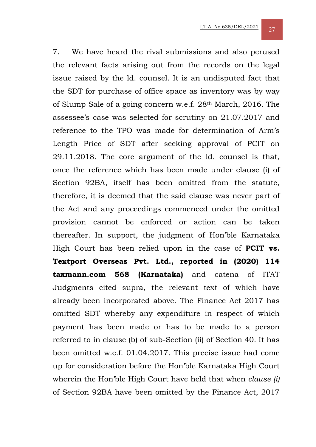7. We have heard the rival submissions and also perused the relevant facts arising out from the records on the legal issue raised by the ld. counsel. It is an undisputed fact that the SDT for purchase of office space as inventory was by way of Slump Sale of a going concern w.e.f. 28th March, 2016. The assessee's case was selected for scrutiny on 21.07.2017 and reference to the TPO was made for determination of Arm's Length Price of SDT after seeking approval of PCIT on 29.11.2018. The core argument of the ld. counsel is that, once the reference which has been made under clause (i) of Section 92BA, itself has been omitted from the statute, therefore, it is deemed that the said clause was never part of the Act and any proceedings commenced under the omitted provision cannot be enforced or action can be taken thereafter. In support, the judgment of Hon'ble Karnataka High Court has been relied upon in the case of **PCIT vs. Textport Overseas Pvt. Ltd., reported in (2020) 114 taxmann.com 568 (Karnataka)** and catena of ITAT Judgments cited supra, the relevant text of which have already been incorporated above. The Finance Act 2017 has omitted SDT whereby any expenditure in respect of which payment has been made or has to be made to a person referred to in clause (b) of sub-Section (ii) of Section 40. It has been omitted w.e.f. 01.04.2017. This precise issue had come up for consideration before the Hon'ble Karnataka High Court wherein the Hon'ble High Court have held that when *clause (i)*  of Section 92BA have been omitted by the Finance Act, 2017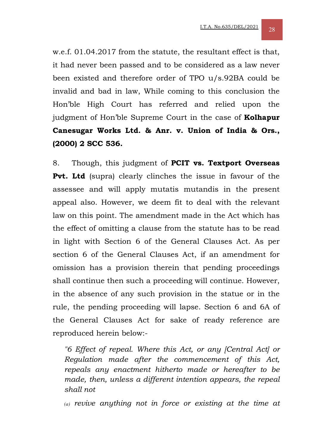w.e.f. 01.04.2017 from the statute, the resultant effect is that, it had never been passed and to be considered as a law never been existed and therefore order of TPO u/s.92BA could be invalid and bad in law, While coming to this conclusion the Hon'ble High Court has referred and relied upon the judgment of Hon'ble Supreme Court in the case of **Kolhapur Canesugar Works Ltd. & Anr. v. Union of India & Ors., (2000) 2 SCC 536.** 

8. Though, this judgment of **PCIT vs. Textport Overseas Pvt. Ltd** (supra) clearly clinches the issue in favour of the assessee and will apply mutatis mutandis in the present appeal also. However, we deem fit to deal with the relevant law on this point. The amendment made in the Act which has the effect of omitting a clause from the statute has to be read in light with Section 6 of the General Clauses Act. As per section 6 of the General Clauses Act, if an amendment for omission has a provision therein that pending proceedings shall continue then such a proceeding will continue. However, in the absence of any such provision in the statue or in the rule, the pending proceeding will lapse. Section 6 and 6A of the General Clauses Act for sake of ready reference are reproduced herein below:-

*"6 Effect of repeal. Where this Act, or any [Central Act] or Regulation made after the commencement of this Act, repeals any enactment hitherto made or hereafter to be made, then, unless a different intention appears, the repeal shall not* 

*(a) revive anything not in force or existing at the time at*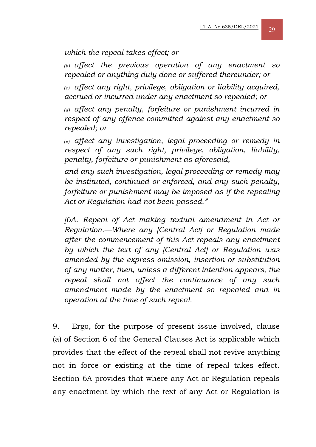#### *which the repeal takes effect; or*

*(b) affect the previous operation of any enactment so repealed or anything duly done or suffered thereunder; or* 

*(c) affect any right, privilege, obligation or liability acquired, accrued or incurred under any enactment so repealed; or* 

*(d) affect any penalty, forfeiture or punishment incurred in respect of any offence committed against any enactment so repealed; or* 

*(e) affect any investigation, legal proceeding or remedy in respect of any such right, privilege, obligation, liability, penalty, forfeiture or punishment as aforesaid,* 

*and any such investigation, legal proceeding or remedy may be instituted, continued or enforced, and any such penalty, forfeiture or punishment may be imposed as if the repealing Act or Regulation had not been passed."* 

*[6A. Repeal of Act making textual amendment in Act or Regulation.—Where any [Central Act] or Regulation made after the commencement of this Act repeals any enactment by which the text of any [Central Act] or Regulation was amended by the express omission, insertion or substitution of any matter, then, unless a different intention appears, the repeal shall not affect the continuance of any such amendment made by the enactment so repealed and in operation at the time of such repeal.* 

9. Ergo, for the purpose of present issue involved, clause (a) of Section 6 of the General Clauses Act is applicable which provides that the effect of the repeal shall not revive anything not in force or existing at the time of repeal takes effect. Section 6A provides that where any Act or Regulation repeals any enactment by which the text of any Act or Regulation is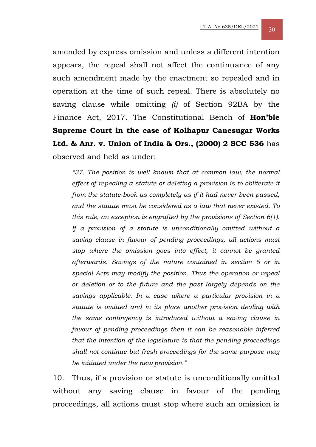amended by express omission and unless a different intention appears, the repeal shall not affect the continuance of any such amendment made by the enactment so repealed and in operation at the time of such repeal. There is absolutely no saving clause while omitting *(i)* of Section 92BA by the Finance Act, 2017. The Constitutional Bench of **Hon'ble Supreme Court in the case of Kolhapur Canesugar Works Ltd. & Anr. v. Union of India & Ors., (2000) 2 SCC 536** has observed and held as under:

*"37. The position is well known that at common law, the normal effect of repealing a statute or deleting a provision is to obliterate it from the statute-book as completely as if it had never been passed, and the statute must be considered as a law that never existed. To this rule, an exception is engrafted by the provisions of Section 6(1). If a provision of a statute is unconditionally omitted without a saving clause in favour of pending proceedings, all actions must stop where the omission goes into effect, it cannot be granted afterwards. Savings of the nature contained in section 6 or in special Acts may modify the position. Thus the operation or repeal or deletion or to the future and the past largely depends on the savings applicable. In a case where a particular provision in a statute is omitted and in its place another provision dealing with the same contingency is introduced without a saving clause in favour of pending proceedings then it can be reasonable inferred that the intention of the legislature is that the pending proceedings shall not continue but fresh proceedings for the same purpose may be initiated under the new provision."* 

10. Thus, if a provision or statute is unconditionally omitted without any saving clause in favour of the pending proceedings, all actions must stop where such an omission is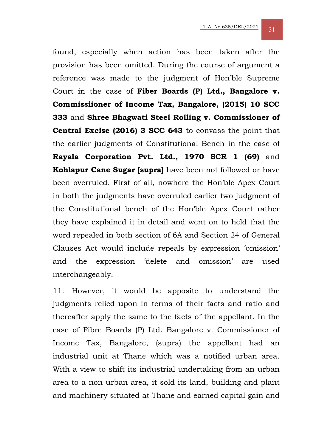found, especially when action has been taken after the provision has been omitted. During the course of argument a reference was made to the judgment of Hon'ble Supreme Court in the case of **Fiber Boards (P) Ltd., Bangalore v. Commissiioner of Income Tax, Bangalore, (2015) 10 SCC 333** and **Shree Bhagwati Steel Rolling v. Commissioner of Central Excise (2016) 3 SCC 643** to convass the point that the earlier judgments of Constitutional Bench in the case of **Rayala Corporation Pvt. Ltd., 1970 SCR 1 (69)** and **Kohlapur Cane Sugar [supra]** have been not followed or have been overruled. First of all, nowhere the Hon'ble Apex Court in both the judgments have overruled earlier two judgment of the Constitutional bench of the Hon'ble Apex Court rather they have explained it in detail and went on to held that the word repealed in both section of 6A and Section 24 of General Clauses Act would include repeals by expression 'omission' and the expression 'delete and omission' are used interchangeably.

11. However, it would be apposite to understand the judgments relied upon in terms of their facts and ratio and thereafter apply the same to the facts of the appellant. In the case of Fibre Boards (P) Ltd. Bangalore v. Commissioner of Income Tax, Bangalore, (supra) the appellant had an industrial unit at Thane which was a notified urban area. With a view to shift its industrial undertaking from an urban area to a non-urban area, it sold its land, building and plant and machinery situated at Thane and earned capital gain and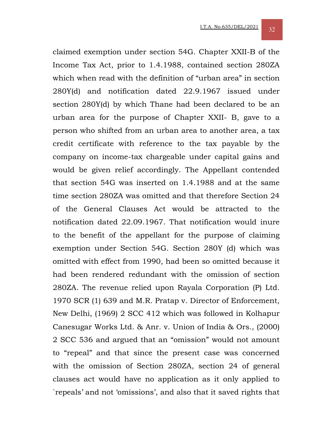claimed exemption under section 54G. Chapter XXII-B of the Income Tax Act, prior to 1.4.1988, contained section 280ZA which when read with the definition of "urban area" in section 280Y(d) and notification dated 22.9.1967 issued under section 280Y(d) by which Thane had been declared to be an urban area for the purpose of Chapter XXII- B, gave to a person who shifted from an urban area to another area, a tax credit certificate with reference to the tax payable by the company on income-tax chargeable under capital gains and would be given relief accordingly. The Appellant contended that section 54G was inserted on 1.4.1988 and at the same time section 280ZA was omitted and that therefore Section 24 of the General Clauses Act would be attracted to the notification dated 22.09.1967. That notification would inure to the benefit of the appellant for the purpose of claiming exemption under Section 54G. Section 280Y (d) which was omitted with effect from 1990, had been so omitted because it had been rendered redundant with the omission of section 280ZA. The revenue relied upon Rayala Corporation (P) Ltd. 1970 SCR (1) 639 and M.R. Pratap v. Director of Enforcement, New Delhi, (1969) 2 SCC 412 which was followed in Kolhapur Canesugar Works Ltd. & Anr. v. Union of India & Ors., (2000) 2 SCC 536 and argued that an "omission" would not amount to "repeal" and that since the present case was concerned with the omission of Section 280ZA, section 24 of general clauses act would have no application as it only applied to `repeals' and not 'omissions', and also that it saved rights that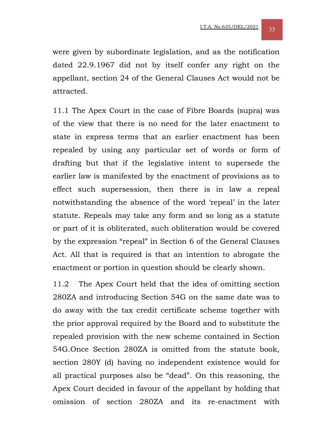were given by subordinate legislation, and as the notification dated 22.9.1967 did not by itself confer any right on the appellant, section 24 of the General Clauses Act would not be attracted.

11.1 The Apex Court in the case of Fibre Boards (supra) was of the view that there is no need for the later enactment to state in express terms that an earlier enactment has been repealed by using any particular set of words or form of drafting but that if the legislative intent to supersede the earlier law is manifested by the enactment of provisions as to effect such supersession, then there is in law a repeal notwithstanding the absence of the word 'repeal' in the later statute. Repeals may take any form and so long as a statute or part of it is obliterated, such obliteration would be covered by the expression "repeal" in Section 6 of the General Clauses Act. All that is required is that an intention to abrogate the enactment or portion in question should be clearly shown.

11.2 The Apex Court held that the idea of omitting section 280ZA and introducing Section 54G on the same date was to do away with the tax credit certificate scheme together with the prior approval required by the Board and to substitute the repealed provision with the new scheme contained in Section 54G.Once Section 280ZA is omitted from the statute book, section 280Y (d) having no independent existence would for all practical purposes also be "dead". On this reasoning, the Apex Court decided in favour of the appellant by holding that omission of section 280ZA and its re-enactment with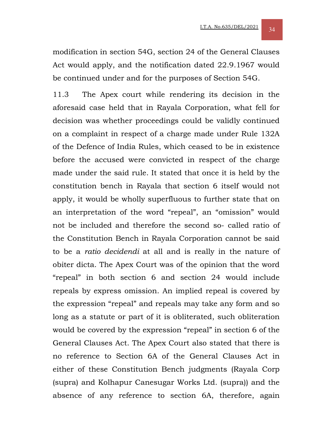modification in section 54G, section 24 of the General Clauses Act would apply, and the notification dated 22.9.1967 would be continued under and for the purposes of Section 54G.

11.3 The Apex court while rendering its decision in the aforesaid case held that in Rayala Corporation, what fell for decision was whether proceedings could be validly continued on a complaint in respect of a charge made under Rule 132A of the Defence of India Rules, which ceased to be in existence before the accused were convicted in respect of the charge made under the said rule. It stated that once it is held by the constitution bench in Rayala that section 6 itself would not apply, it would be wholly superfluous to further state that on an interpretation of the word "repeal", an "omission" would not be included and therefore the second so- called ratio of the Constitution Bench in Rayala Corporation cannot be said to be a *ratio decidendi* at all and is really in the nature of obiter dicta. The Apex Court was of the opinion that the word "repeal" in both section 6 and section 24 would include repeals by express omission. An implied repeal is covered by the expression "repeal" and repeals may take any form and so long as a statute or part of it is obliterated, such obliteration would be covered by the expression "repeal" in section 6 of the General Clauses Act. The Apex Court also stated that there is no reference to Section 6A of the General Clauses Act in either of these Constitution Bench judgments (Rayala Corp (supra) and Kolhapur Canesugar Works Ltd. (supra)) and the absence of any reference to section 6A, therefore, again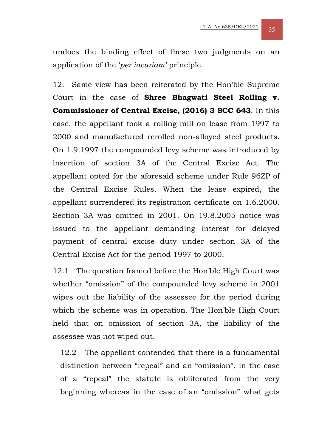undoes the binding effect of these two judgments on an application of the '*per incuriam'* principle.

12. Same view has been reiterated by the Hon'ble Supreme Court in the case of **Shree Bhagwati Steel Rolling v. Commissioner of Central Excise, (2016) 3 SCC 643**. In this case, the appellant took a rolling mill on lease from 1997 to 2000 and manufactured rerolled non-alloyed steel products. On 1.9.1997 the compounded levy scheme was introduced by insertion of section 3A of the Central Excise Act. The appellant opted for the aforesaid scheme under Rule 96ZP of the Central Excise Rules. When the lease expired, the appellant surrendered its registration certificate on 1.6.2000. Section 3A was omitted in 2001. On 19.8.2005 notice was issued to the appellant demanding interest for delayed payment of central excise duty under section 3A of the Central Excise Act for the period 1997 to 2000.

12.1 The question framed before the Hon'ble High Court was whether "omission" of the compounded levy scheme in 2001 wipes out the liability of the assessee for the period during which the scheme was in operation. The Hon'ble High Court held that on omission of section 3A, the liability of the assessee was not wiped out.

12.2 The appellant contended that there is a fundamental distinction between "repeal" and an "omission", in the case of a "repeal" the statute is obliterated from the very beginning whereas in the case of an "omission" what gets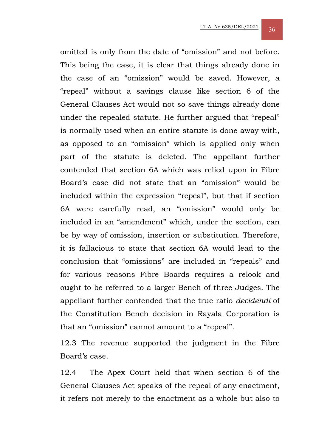omitted is only from the date of "omission" and not before. This being the case, it is clear that things already done in the case of an "omission" would be saved. However, a "repeal" without a savings clause like section 6 of the General Clauses Act would not so save things already done under the repealed statute. He further argued that "repeal" is normally used when an entire statute is done away with, as opposed to an "omission" which is applied only when part of the statute is deleted. The appellant further contended that section 6A which was relied upon in Fibre Board's case did not state that an "omission" would be included within the expression "repeal", but that if section 6A were carefully read, an "omission" would only be included in an "amendment" which, under the section, can be by way of omission, insertion or substitution. Therefore, it is fallacious to state that section 6A would lead to the conclusion that "omissions" are included in "repeals" and for various reasons Fibre Boards requires a relook and ought to be referred to a larger Bench of three Judges. The appellant further contended that the true ratio *decidendi* of the Constitution Bench decision in Rayala Corporation is that an "omission" cannot amount to a "repeal".

12.3 The revenue supported the judgment in the Fibre Board's case.

12.4 The Apex Court held that when section 6 of the General Clauses Act speaks of the repeal of any enactment, it refers not merely to the enactment as a whole but also to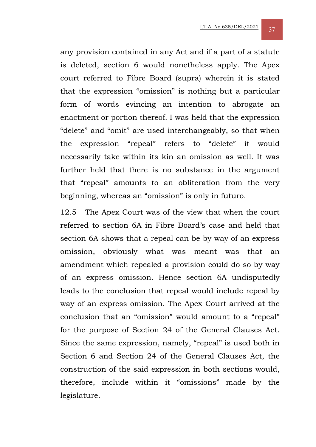any provision contained in any Act and if a part of a statute is deleted, section 6 would nonetheless apply. The Apex court referred to Fibre Board (supra) wherein it is stated that the expression "omission" is nothing but a particular form of words evincing an intention to abrogate an enactment or portion thereof. I was held that the expression "delete" and "omit" are used interchangeably, so that when the expression "repeal" refers to "delete" it would necessarily take within its kin an omission as well. It was further held that there is no substance in the argument that "repeal" amounts to an obliteration from the very beginning, whereas an "omission" is only in futuro.

12.5 The Apex Court was of the view that when the court referred to section 6A in Fibre Board's case and held that section 6A shows that a repeal can be by way of an express omission, obviously what was meant was that an amendment which repealed a provision could do so by way of an express omission. Hence section 6A undisputedly leads to the conclusion that repeal would include repeal by way of an express omission. The Apex Court arrived at the conclusion that an "omission" would amount to a "repeal" for the purpose of Section 24 of the General Clauses Act. Since the same expression, namely, "repeal" is used both in Section 6 and Section 24 of the General Clauses Act, the construction of the said expression in both sections would, therefore, include within it "omissions" made by the legislature.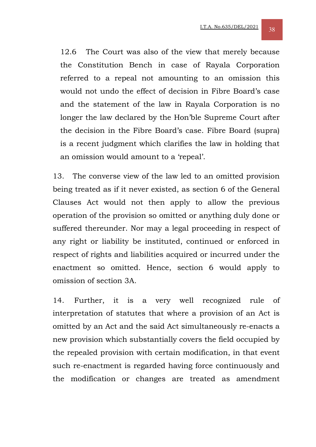12.6 The Court was also of the view that merely because the Constitution Bench in case of Rayala Corporation referred to a repeal not amounting to an omission this would not undo the effect of decision in Fibre Board's case and the statement of the law in Rayala Corporation is no longer the law declared by the Hon'ble Supreme Court after the decision in the Fibre Board's case. Fibre Board (supra) is a recent judgment which clarifies the law in holding that an omission would amount to a 'repeal'.

13. The converse view of the law led to an omitted provision being treated as if it never existed, as section 6 of the General Clauses Act would not then apply to allow the previous operation of the provision so omitted or anything duly done or suffered thereunder. Nor may a legal proceeding in respect of any right or liability be instituted, continued or enforced in respect of rights and liabilities acquired or incurred under the enactment so omitted. Hence, section 6 would apply to omission of section 3A.

14. Further, it is a very well recognized rule of interpretation of statutes that where a provision of an Act is omitted by an Act and the said Act simultaneously re-enacts a new provision which substantially covers the field occupied by the repealed provision with certain modification, in that event such re-enactment is regarded having force continuously and the modification or changes are treated as amendment